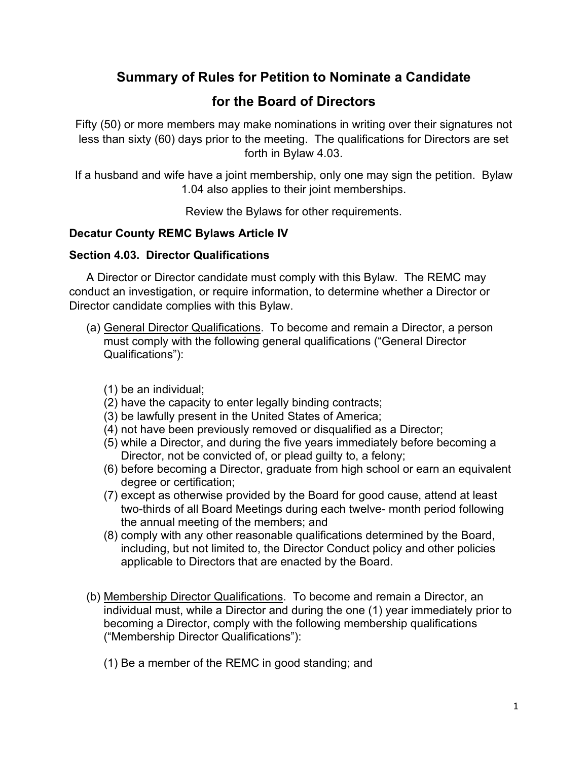## **Summary of Rules for Petition to Nominate a Candidate**

# **for the Board of Directors**

Fifty (50) or more members may make nominations in writing over their signatures not less than sixty (60) days prior to the meeting. The qualifications for Directors are set forth in Bylaw 4.03.

If a husband and wife have a joint membership, only one may sign the petition. Bylaw 1.04 also applies to their joint memberships.

Review the Bylaws for other requirements.

## **Decatur County REMC Bylaws Article IV**

### **Section 4.03. Director Qualifications**

A Director or Director candidate must comply with this Bylaw. The REMC may conduct an investigation, or require information, to determine whether a Director or Director candidate complies with this Bylaw.

- (a) General Director Qualifications. To become and remain a Director, a person must comply with the following general qualifications ("General Director Qualifications"):
	- (1) be an individual;
	- (2) have the capacity to enter legally binding contracts;
	- (3) be lawfully present in the United States of America;
	- (4) not have been previously removed or disqualified as a Director;
	- (5) while a Director, and during the five years immediately before becoming a Director, not be convicted of, or plead guilty to, a felony;
	- (6) before becoming a Director, graduate from high school or earn an equivalent degree or certification;
	- (7) except as otherwise provided by the Board for good cause, attend at least two-thirds of all Board Meetings during each twelve- month period following the annual meeting of the members; and
	- (8) comply with any other reasonable qualifications determined by the Board, including, but not limited to, the Director Conduct policy and other policies applicable to Directors that are enacted by the Board.
- (b) Membership Director Qualifications. To become and remain a Director, an individual must, while a Director and during the one (1) year immediately prior to becoming a Director, comply with the following membership qualifications ("Membership Director Qualifications"):
	- (1) Be a member of the REMC in good standing; and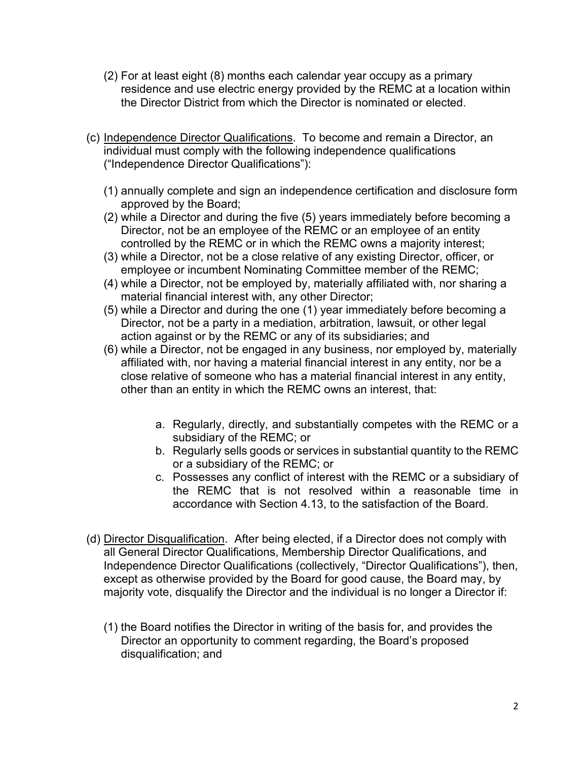- (2) For at least eight (8) months each calendar year occupy as a primary residence and use electric energy provided by the REMC at a location within the Director District from which the Director is nominated or elected.
- (c) Independence Director Qualifications. To become and remain a Director, an individual must comply with the following independence qualifications ("Independence Director Qualifications"):
	- (1) annually complete and sign an independence certification and disclosure form approved by the Board;
	- (2) while a Director and during the five (5) years immediately before becoming a Director, not be an employee of the REMC or an employee of an entity controlled by the REMC or in which the REMC owns a majority interest;
	- (3) while a Director, not be a close relative of any existing Director, officer, or employee or incumbent Nominating Committee member of the REMC;
	- (4) while a Director, not be employed by, materially affiliated with, nor sharing a material financial interest with, any other Director;
	- (5) while a Director and during the one (1) year immediately before becoming a Director, not be a party in a mediation, arbitration, lawsuit, or other legal action against or by the REMC or any of its subsidiaries; and
	- (6) while a Director, not be engaged in any business, nor employed by, materially affiliated with, nor having a material financial interest in any entity, nor be a close relative of someone who has a material financial interest in any entity, other than an entity in which the REMC owns an interest, that:
		- a. Regularly, directly, and substantially competes with the REMC or a subsidiary of the REMC; or
		- b. Regularly sells goods or services in substantial quantity to the REMC or a subsidiary of the REMC; or
		- c. Possesses any conflict of interest with the REMC or a subsidiary of the REMC that is not resolved within a reasonable time in accordance with Section 4.13, to the satisfaction of the Board.
- (d) Director Disqualification. After being elected, if a Director does not comply with all General Director Qualifications, Membership Director Qualifications, and Independence Director Qualifications (collectively, "Director Qualifications"), then, except as otherwise provided by the Board for good cause, the Board may, by majority vote, disqualify the Director and the individual is no longer a Director if:
	- (1) the Board notifies the Director in writing of the basis for, and provides the Director an opportunity to comment regarding, the Board's proposed disqualification; and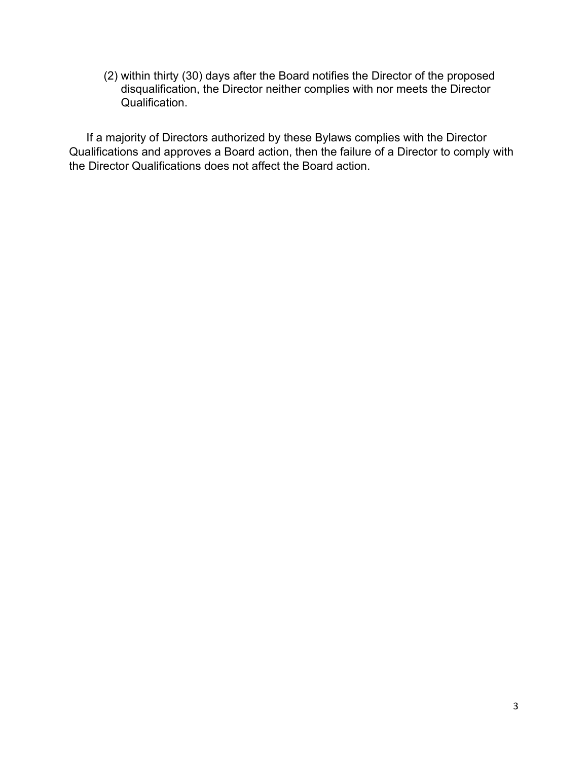(2) within thirty (30) days after the Board notifies the Director of the proposed disqualification, the Director neither complies with nor meets the Director Qualification.

If a majority of Directors authorized by these Bylaws complies with the Director Qualifications and approves a Board action, then the failure of a Director to comply with the Director Qualifications does not affect the Board action.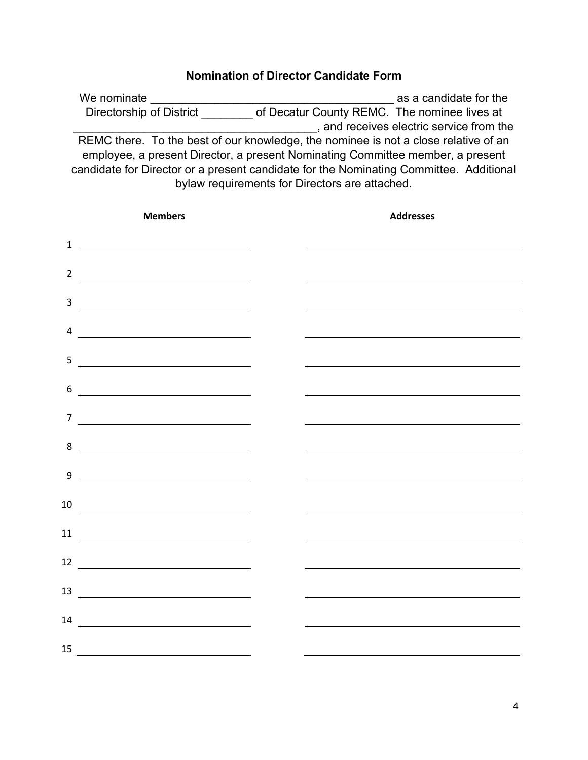### **Nomination of Director Candidate Form**

We nominate **We nominate**  $\alpha$  as a candidate for the Directorship of District **District** of Decatur County REMC. The nominee lives at \_\_\_\_\_\_\_\_\_\_\_\_\_\_\_\_\_\_\_\_\_\_\_\_\_\_\_\_\_\_\_\_\_\_\_\_\_\_, and receives electric service from the REMC there. To the best of our knowledge, the nominee is not a close relative of an employee, a present Director, a present Nominating Committee member, a present candidate for Director or a present candidate for the Nominating Committee. Additional bylaw requirements for Directors are attached.

|                | <b>Members</b>                                                                                                                                      | <b>Addresses</b>                                            |
|----------------|-----------------------------------------------------------------------------------------------------------------------------------------------------|-------------------------------------------------------------|
|                | $\frac{1}{\sqrt{1-\frac{1}{2}}}\left\vert \frac{1}{\sqrt{1-\frac{1}{2}}}\right\vert$                                                                | <u> 1980 - Johann Barn, amerikansk politiker (d. 1980)</u>  |
|                | $\frac{2}{\sqrt{2}}$                                                                                                                                |                                                             |
| $\overline{3}$ |                                                                                                                                                     |                                                             |
|                |                                                                                                                                                     |                                                             |
|                | $\overline{4}$ $\overline{\phantom{155}$                                                                                                            |                                                             |
|                |                                                                                                                                                     |                                                             |
| 6              | <u> 1989 - Johann Stein, fransk politik (</u>                                                                                                       |                                                             |
| $\overline{7}$ | <u> 1989 - Johann Barnett, fransk politiker (</u>                                                                                                   |                                                             |
|                | 8                                                                                                                                                   |                                                             |
|                |                                                                                                                                                     | <u> 1989 - Johann Barn, amerikansk politiker (d. 1989)</u>  |
|                | $9 \overline{\phantom{a}}$                                                                                                                          | <u> 1989 - Johann Stoff, Amerikaansk politiker († 1908)</u> |
|                | $\begin{tabular}{c} 10 & \begin{tabular}{@{}c@{}} \quad \quad & \quad & \quad \\ \quad \quad & \quad & \quad \\ \hline \end{tabular} \end{tabular}$ |                                                             |
|                | $\begin{array}{c} \n \hline\n 11 \end{array}$                                                                                                       |                                                             |
|                | $\begin{tabular}{c} 12 \end{tabular}$                                                                                                               |                                                             |
|                |                                                                                                                                                     | <u> 1989 - Andrea Brand, amerikansk politik (d. 1989)</u>   |
|                | $\begin{array}{c} \n \text{13} \end{array}$                                                                                                         |                                                             |
|                |                                                                                                                                                     |                                                             |
|                | $15$ $\qquad \qquad$                                                                                                                                |                                                             |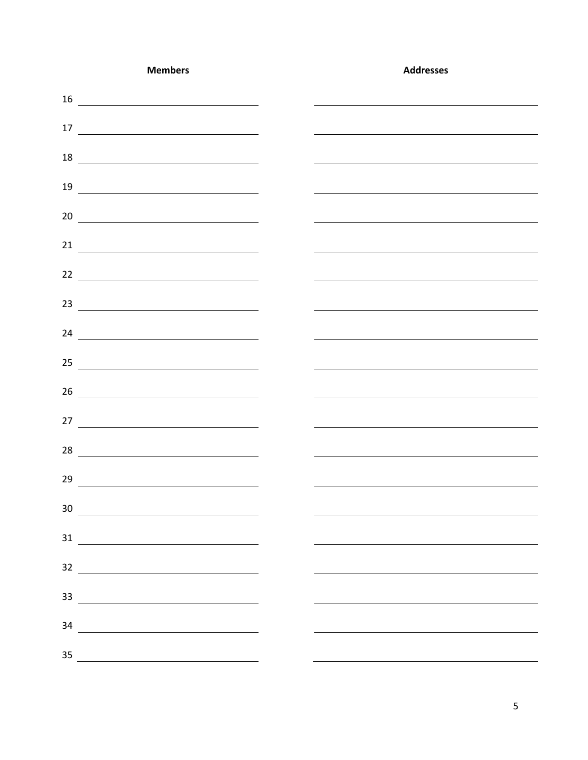| <b>Members</b>                                                                                                                                                                                                                                                                                                                                                                                                                                           | <b>Addresses</b> |
|----------------------------------------------------------------------------------------------------------------------------------------------------------------------------------------------------------------------------------------------------------------------------------------------------------------------------------------------------------------------------------------------------------------------------------------------------------|------------------|
|                                                                                                                                                                                                                                                                                                                                                                                                                                                          |                  |
| $\begin{array}{c c c c} \hline \textbf{17} & \textbf{---} & \textbf{---} & \textbf{---} \\ \hline \end{array}$                                                                                                                                                                                                                                                                                                                                           |                  |
| $\begin{array}{c c c c c} \hline \multicolumn{3}{c }{\textbf{18}} & \multicolumn{3}{c }{\textbf{19}} \\ \hline \multicolumn{3}{c }{\textbf{19}} & \multicolumn{3}{c }{\textbf{19}} \\ \hline \multicolumn{3}{c }{\textbf{19}} & \multicolumn{3}{c }{\textbf{19}} \\ \hline \multicolumn{3}{c }{\textbf{19}} & \multicolumn{3}{c }{\textbf{19}} \\ \hline \multicolumn{3}{c }{\textbf{19}} & \multicolumn{3}{c }{\textbf{19}} \\ \hline \multicolumn{3}{$ |                  |
|                                                                                                                                                                                                                                                                                                                                                                                                                                                          |                  |
|                                                                                                                                                                                                                                                                                                                                                                                                                                                          |                  |
|                                                                                                                                                                                                                                                                                                                                                                                                                                                          |                  |
|                                                                                                                                                                                                                                                                                                                                                                                                                                                          |                  |
|                                                                                                                                                                                                                                                                                                                                                                                                                                                          |                  |
| $24 \overline{ }$                                                                                                                                                                                                                                                                                                                                                                                                                                        |                  |
|                                                                                                                                                                                                                                                                                                                                                                                                                                                          |                  |
| 26                                                                                                                                                                                                                                                                                                                                                                                                                                                       |                  |
|                                                                                                                                                                                                                                                                                                                                                                                                                                                          |                  |
|                                                                                                                                                                                                                                                                                                                                                                                                                                                          |                  |
|                                                                                                                                                                                                                                                                                                                                                                                                                                                          |                  |
|                                                                                                                                                                                                                                                                                                                                                                                                                                                          |                  |
| $\overline{\phantom{a}30}$                                                                                                                                                                                                                                                                                                                                                                                                                               |                  |
| $\begin{array}{c c c c} \hline \multicolumn{3}{c }{\textbf{31}} & \multicolumn{3}{c }{\textbf{31}} \\ \hline \multicolumn{3}{c }{\textbf{31}} & \multicolumn{3}{c }{\textbf{31}} \\ \hline \multicolumn{3}{c }{\textbf{31}} & \multicolumn{3}{c }{\textbf{31}} \\ \hline \multicolumn{3}{c }{\textbf{31}} & \multicolumn{3}{c }{\textbf{31}} \\ \hline \multicolumn{3}{c }{\textbf{31}} & \multicolumn{3}{c }{\textbf{31}} \\ \hline \multicolumn{3}{c $ |                  |
| $\begin{array}{c c c c} \hline \multicolumn{3}{c c }{\multicolumn{3}{c c }{\multicolumn{3}{c c }{\multicolumn{3}{c c }{\multicolumn{3}{c c }{\multicolumn{3}{c c }{\multicolumn{3}{c}}}}}} \hline \multicolumn{3}{c }{\multicolumn{3}{c c }{\multicolumn{3}{c c }{\multicolumn{3}{c c }{\multicolumn{3}{c c }{\multicolumn{3}{c c }{\multicolumn{3}{c c }{\multicolumn{3}{c c }{\multicolumn{3}{c c }{\multicolumn{3}{c c }{$                            |                  |
| $\begin{array}{c c c c} \hline \multicolumn{3}{c c }{\multicolumn{3}{c c }{\multicolumn{3}{c c }{\multicolumn{3}{c c }{\multicolumn{3}{c c }{\multicolumn{3}{c}}}}\ \hline \multicolumn{3}{c }{\multicolumn{3}{c c }{\multicolumn{3}{c c }{\multicolumn{3}{c c }{\multicolumn{3}{c c }{\multicolumn{3}{c c }{\multicolumn{3}{c c }{\multicolumn{3}{c c }{\multicolumn{3}{c c }{\multicolumn{3}{c c }{\multicolumn{3}{c c }{$                             |                  |
| 34<br><u> 1980 - John Stein, mars and de Brazilian (b. 1980)</u>                                                                                                                                                                                                                                                                                                                                                                                         |                  |
| 35                                                                                                                                                                                                                                                                                                                                                                                                                                                       |                  |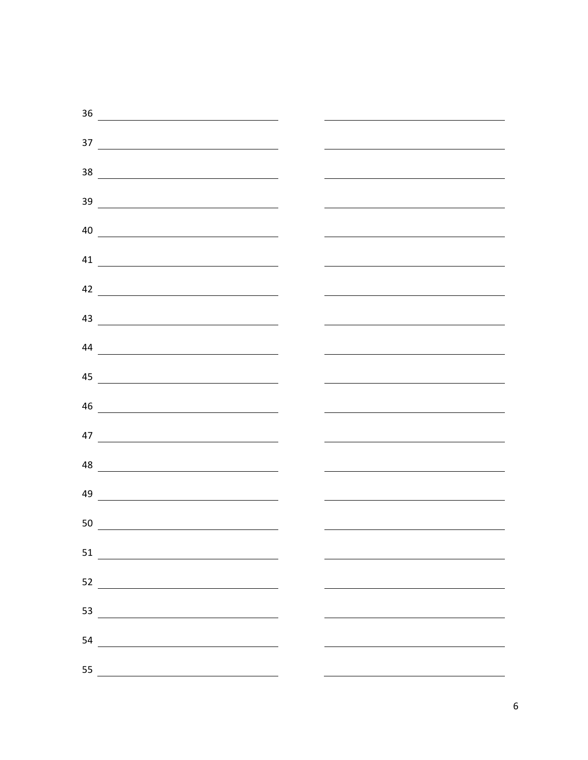|    | $\begin{array}{c c c c} \hline \multicolumn{3}{c }{\textbf{36}} & \multicolumn{3}{c }{\textbf{36}} \\ \hline \multicolumn{3}{c }{\textbf{36}} & \multicolumn{3}{c }{\textbf{36}} \\ \hline \multicolumn{3}{c }{\textbf{36}} & \multicolumn{3}{c }{\textbf{36}} \\ \hline \multicolumn{3}{c }{\textbf{36}} & \multicolumn{3}{c }{\textbf{36}} \\ \hline \multicolumn{3}{c }{\textbf{36}} & \multicolumn{3}{c }{\textbf{36}} \\ \hline \multicolumn{3}{c $ |  |
|----|----------------------------------------------------------------------------------------------------------------------------------------------------------------------------------------------------------------------------------------------------------------------------------------------------------------------------------------------------------------------------------------------------------------------------------------------------------|--|
|    | $\begin{array}{c c c c c} \hline \rule{0pt}{16pt} \rule{0pt}{2.5ex} \rule{0pt}{2.5ex} \rule{0pt}{2.5ex} \rule{0pt}{2.5ex} \rule{0pt}{2.5ex} \rule{0pt}{2.5ex} \rule{0pt}{2.5ex} \rule{0pt}{2.5ex} \rule{0pt}{2.5ex} \rule{0pt}{2.5ex} \rule{0pt}{2.5ex} \rule{0pt}{2.5ex} \rule{0pt}{2.5ex} \rule{0pt}{2.5ex} \rule{0pt}{2.5ex} \rule{0pt}{2.5ex} \rule{0pt}{2.5ex} \rule{0pt$                                                                           |  |
|    |                                                                                                                                                                                                                                                                                                                                                                                                                                                          |  |
|    | $\begin{array}{c c c c c} \hline \multicolumn{3}{c c }{\multicolumn{3}{c c }{\multicolumn{3}{c c }{\multicolumn{3}{c c }{\multicolumn{3}{c c }{\multicolumn{3}{c c }{\multicolumn{3}{c c }{\multicolumn{3}{c c }{\multicolumn{3}{c c }{\multicolumn{3}{c c }{\multicolumn{3}{c c }{\multicolumn{3}{c c }{\multicolumn{3}{c c }{\multicolumn{3}{c c }{\multicolumn{3}{c c }{\multicolumn{3}{c c }{\multicolumn{3}{c c$                                    |  |
|    | $\begin{tabular}{c} 39 \end{tabular}$                                                                                                                                                                                                                                                                                                                                                                                                                    |  |
|    | $40$ $\overline{\phantom{a}}$                                                                                                                                                                                                                                                                                                                                                                                                                            |  |
|    |                                                                                                                                                                                                                                                                                                                                                                                                                                                          |  |
|    | $42 \overline{\phantom{a}}$                                                                                                                                                                                                                                                                                                                                                                                                                              |  |
|    |                                                                                                                                                                                                                                                                                                                                                                                                                                                          |  |
|    | $\overline{\phantom{a}44\phantom{a}}$                                                                                                                                                                                                                                                                                                                                                                                                                    |  |
|    |                                                                                                                                                                                                                                                                                                                                                                                                                                                          |  |
|    | 46                                                                                                                                                                                                                                                                                                                                                                                                                                                       |  |
|    |                                                                                                                                                                                                                                                                                                                                                                                                                                                          |  |
|    |                                                                                                                                                                                                                                                                                                                                                                                                                                                          |  |
|    | $\begin{array}{c c c c c} \hline \multicolumn{3}{c }{\textbf{48}} & \multicolumn{3}{c }{\textbf{56}} \\ \hline \multicolumn{3}{c }{\textbf{56}} & \multicolumn{3}{c }{\textbf{66}} \\ \hline \multicolumn{3}{c }{\textbf{66}} & \multicolumn{3}{c }{\textbf{66}} \\ \hline \multicolumn{3}{c }{\textbf{66}} & \multicolumn{3}{c }{\textbf{66}} \\ \hline \multicolumn{3}{c }{\textbf{66}} & \multicolumn{3}{c }{\textbf{66}} \\ \hline \multicolumn{3}{$ |  |
| 49 | <u> 1980 - Andrea Andrew Maria (h. 1980).</u>                                                                                                                                                                                                                                                                                                                                                                                                            |  |
| 50 | <u> Alexandria de la contrada de la contrada de la contrada de la contrada de la contrada de la contrada de la c</u>                                                                                                                                                                                                                                                                                                                                     |  |
| 51 |                                                                                                                                                                                                                                                                                                                                                                                                                                                          |  |
| 52 | <u> 1980 - Johann Stoff, fransk politik (d. 1980)</u>                                                                                                                                                                                                                                                                                                                                                                                                    |  |
| 53 |                                                                                                                                                                                                                                                                                                                                                                                                                                                          |  |
| 54 |                                                                                                                                                                                                                                                                                                                                                                                                                                                          |  |
| 55 |                                                                                                                                                                                                                                                                                                                                                                                                                                                          |  |
|    |                                                                                                                                                                                                                                                                                                                                                                                                                                                          |  |